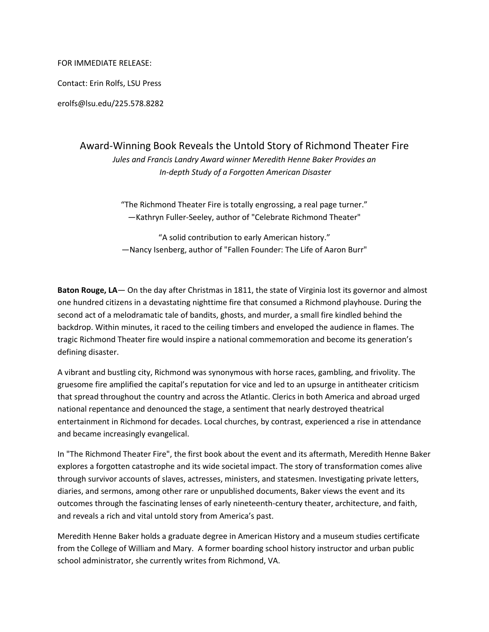## FOR IMMEDIATE RELEASE:

Contact: Erin Rolfs, LSU Press

erolfs@lsu.edu/225.578.8282

## Award-Winning Book Reveals the Untold Story of Richmond Theater Fire

*Jules and Francis Landry Award winner Meredith Henne Baker Provides an In-depth Study of a Forgotten American Disaster*

"The Richmond Theater Fire is totally engrossing, a real page turner." —Kathryn Fuller-Seeley, author of "Celebrate Richmond Theater"

"A solid contribution to early American history." —Nancy Isenberg, author of "Fallen Founder: The Life of Aaron Burr"

**Baton Rouge, LA**— On the day after Christmas in 1811, the state of Virginia lost its governor and almost one hundred citizens in a devastating nighttime fire that consumed a Richmond playhouse. During the second act of a melodramatic tale of bandits, ghosts, and murder, a small fire kindled behind the backdrop. Within minutes, it raced to the ceiling timbers and enveloped the audience in flames. The tragic Richmond Theater fire would inspire a national commemoration and become its generation's defining disaster.

A vibrant and bustling city, Richmond was synonymous with horse races, gambling, and frivolity. The gruesome fire amplified the capital's reputation for vice and led to an upsurge in antitheater criticism that spread throughout the country and across the Atlantic. Clerics in both America and abroad urged national repentance and denounced the stage, a sentiment that nearly destroyed theatrical entertainment in Richmond for decades. Local churches, by contrast, experienced a rise in attendance and became increasingly evangelical.

In "The Richmond Theater Fire", the first book about the event and its aftermath, Meredith Henne Baker explores a forgotten catastrophe and its wide societal impact. The story of transformation comes alive through survivor accounts of slaves, actresses, ministers, and statesmen. Investigating private letters, diaries, and sermons, among other rare or unpublished documents, Baker views the event and its outcomes through the fascinating lenses of early nineteenth-century theater, architecture, and faith, and reveals a rich and vital untold story from America's past.

Meredith Henne Baker holds a graduate degree in American History and a museum studies certificate from the College of William and Mary. A former boarding school history instructor and urban public school administrator, she currently writes from Richmond, VA.